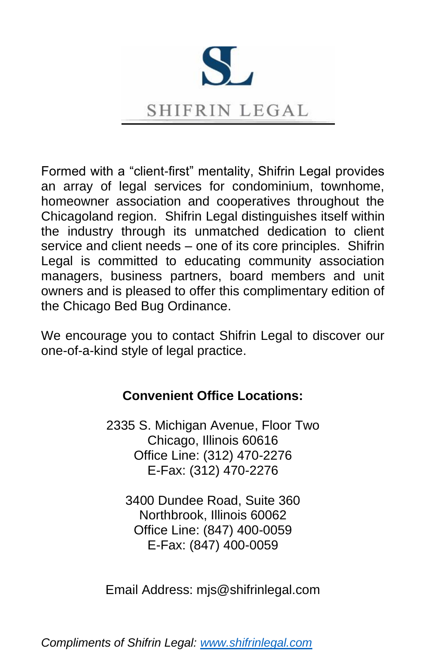

Formed with a "client-first" mentality, Shifrin Legal provides an array of legal services for condominium, townhome, homeowner association and cooperatives throughout the Chicagoland region. Shifrin Legal distinguishes itself within the industry through its unmatched dedication to client service and client needs – one of its core principles. Shifrin Legal is committed to educating community association managers, business partners, board members and unit owners and is pleased to offer this complimentary edition of the Chicago Bed Bug Ordinance.

We encourage you to contact Shifrin Legal to discover our one-of-a-kind style of legal practice.

# **Convenient Office Locations:**

2335 S. Michigan Avenue, Floor Two Chicago, Illinois 60616 Office Line: (312) 470-2276 E-Fax: (312) 470-2276

3400 Dundee Road, Suite 360 Northbrook, Illinois 60062 Office Line: (847) 400-0059 E-Fax: (847) 400-0059

Email Address: mjs@shifrinlegal.com

*Compliments of Shifrin Legal: [www.shifrinlegal.com](http://www.shifrinlegal.com/)*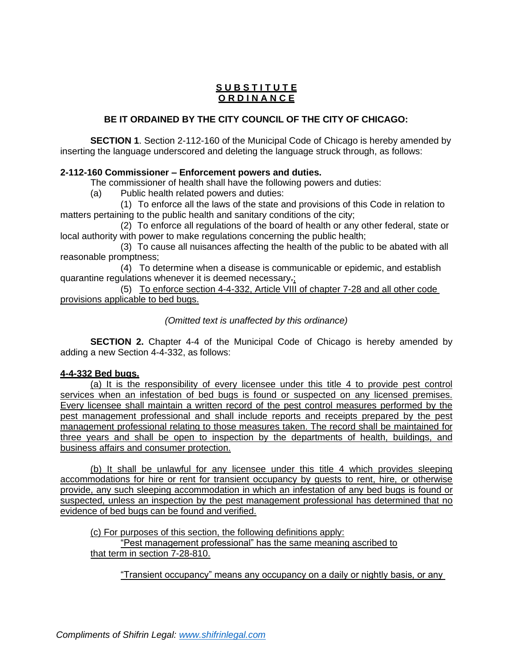## **S U B S T I T U T E O R D I N A N C E**

## **BE IT ORDAINED BY THE CITY COUNCIL OF THE CITY OF CHICAGO:**

**SECTION 1**. Section 2-112-160 of the Municipal Code of Chicago is hereby amended by inserting the language underscored and deleting the language struck through, as follows:

### **2-112-160 Commissioner – Enforcement powers and duties.**

The commissioner of health shall have the following powers and duties:

(a) Public health related powers and duties:

(1) To enforce all the laws of the state and provisions of this Code in relation to matters pertaining to the public health and sanitary conditions of the city;

(2) To enforce all regulations of the board of health or any other federal, state or local authority with power to make regulations concerning the public health;

(3) To cause all nuisances affecting the health of the public to be abated with all reasonable promptness;

(4) To determine when a disease is communicable or epidemic, and establish quarantine regulations whenever it is deemed necessary.;

(5) To enforce section 4-4-332, Article VIII of chapter 7-28 and all other code provisions applicable to bed bugs.

*(Omitted text is unaffected by this ordinance)*

**SECTION 2.** Chapter 4-4 of the Municipal Code of Chicago is hereby amended by adding a new Section 4-4-332, as follows:

### **4-4-332 Bed bugs.**

(a) It is the responsibility of every licensee under this title 4 to provide pest control services when an infestation of bed bugs is found or suspected on any licensed premises. Every licensee shall maintain a written record of the pest control measures performed by the pest management professional and shall include reports and receipts prepared by the pest management professional relating to those measures taken. The record shall be maintained for three years and shall be open to inspection by the departments of health, buildings, and business affairs and consumer protection.

(b) It shall be unlawful for any licensee under this title 4 which provides sleeping accommodations for hire or rent for transient occupancy by guests to rent, hire, or otherwise provide, any such sleeping accommodation in which an infestation of any bed bugs is found or suspected, unless an inspection by the pest management professional has determined that no evidence of bed bugs can be found and verified.

(c) For purposes of this section, the following definitions apply:

"Pest management professional" has the same meaning ascribed to that term in section 7-28-810.

"Transient occupancy" means any occupancy on a daily or nightly basis, or any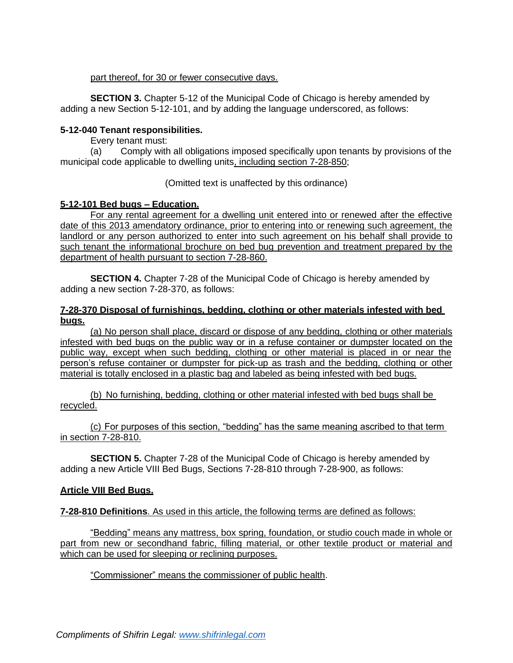### part thereof, for 30 or fewer consecutive days.

**SECTION 3.** Chapter 5-12 of the Municipal Code of Chicago is hereby amended by adding a new Section 5-12-101, and by adding the language underscored, as follows:

### **5-12-040 Tenant responsibilities.**

Every tenant must:

(a) Comply with all obligations imposed specifically upon tenants by provisions of the municipal code applicable to dwelling units, including section 7-28-850;

#### (Omitted text is unaffected by this ordinance)

### **5-12-101 Bed bugs – Education.**

For any rental agreement for a dwelling unit entered into or renewed after the effective date of this 2013 amendatory ordinance, prior to entering into or renewing such agreement, the landlord or any person authorized to enter into such agreement on his behalf shall provide to such tenant the informational brochure on bed bug prevention and treatment prepared by the department of health pursuant to section 7-28-860.

**SECTION 4.** Chapter 7-28 of the Municipal Code of Chicago is hereby amended by adding a new section 7-28-370, as follows:

#### **7-28-370 Disposal of furnishings, bedding, clothing or other materials infested with bed bugs.**

(a) No person shall place, discard or dispose of any bedding, clothing or other materials infested with bed bugs on the public way or in a refuse container or dumpster located on the public way, except when such bedding, clothing or other material is placed in or near the person's refuse container or dumpster for pick-up as trash and the bedding, clothing or other material is totally enclosed in a plastic bag and labeled as being infested with bed bugs.

(b) No furnishing, bedding, clothing or other material infested with bed bugs shall be recycled.

(c) For purposes of this section, "bedding" has the same meaning ascribed to that term in section 7-28-810.

**SECTION 5.** Chapter 7-28 of the Municipal Code of Chicago is hereby amended by adding a new Article VIII Bed Bugs, Sections 7-28-810 through 7-28-900, as follows:

#### **Article VIII Bed Bugs.**

**7-28-810 Definitions**. As used in this article, the following terms are defined as follows:

"Bedding" means any mattress, box spring, foundation, or studio couch made in whole or part from new or secondhand fabric, filling material, or other textile product or material and which can be used for sleeping or reclining purposes.

"Commissioner" means the commissioner of public health.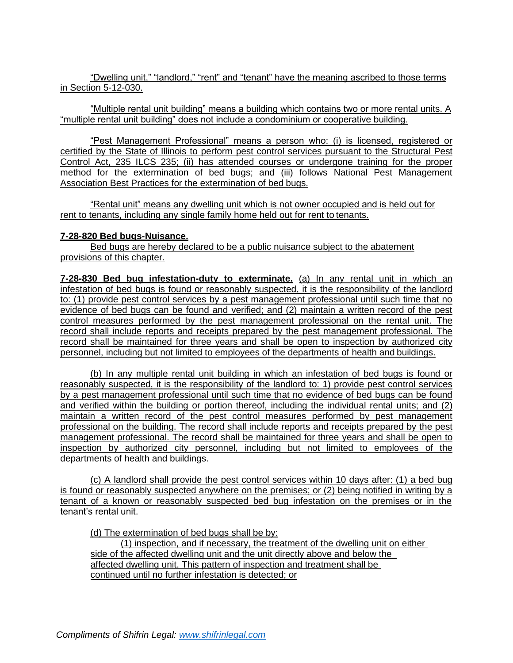"Dwelling unit," "landlord," "rent" and "tenant" have the meaning ascribed to those terms in Section 5-12-030.

"Multiple rental unit building" means a building which contains two or more rental units. A "multiple rental unit building" does not include a condominium or cooperative building.

"Pest Management Professional" means a person who: (i) is licensed, registered or certified by the State of Illinois to perform pest control services pursuant to the Structural Pest Control Act, 235 ILCS 235; (ii) has attended courses or undergone training for the proper method for the extermination of bed bugs; and (iii) follows National Pest Management Association Best Practices for the extermination of bed bugs.

"Rental unit" means any dwelling unit which is not owner occupied and is held out for rent to tenants, including any single family home held out for rent to tenants.

#### **7-28-820 Bed bugs-Nuisance.**

Bed bugs are hereby declared to be a public nuisance subject to the abatement provisions of this chapter.

**7-28-830 Bed bug infestation-duty to exterminate.** (a) In any rental unit in which an infestation of bed bugs is found or reasonably suspected, it is the responsibility of the landlord to: (1) provide pest control services by a pest management professional until such time that no evidence of bed bugs can be found and verified; and (2) maintain a written record of the pest control measures performed by the pest management professional on the rental unit. The record shall include reports and receipts prepared by the pest management professional. The record shall be maintained for three years and shall be open to inspection by authorized city personnel, including but not limited to employees of the departments of health and buildings.

(b) In any multiple rental unit building in which an infestation of bed bugs is found or reasonably suspected, it is the responsibility of the landlord to: 1) provide pest control services by a pest management professional until such time that no evidence of bed bugs can be found and verified within the building or portion thereof, including the individual rental units; and (2) maintain a written record of the pest control measures performed by pest management professional on the building. The record shall include reports and receipts prepared by the pest management professional. The record shall be maintained for three years and shall be open to inspection by authorized city personnel, including but not limited to employees of the departments of health and buildings.

(c) A landlord shall provide the pest control services within 10 days after: (1) a bed bug is found or reasonably suspected anywhere on the premises; or (2) being notified in writing by a tenant of a known or reasonably suspected bed bug infestation on the premises or in the tenant's rental unit.

(d) The extermination of bed bugs shall be by:

(1) inspection, and if necessary, the treatment of the dwelling unit on either side of the affected dwelling unit and the unit directly above and below the affected dwelling unit. This pattern of inspection and treatment shall be continued until no further infestation is detected; or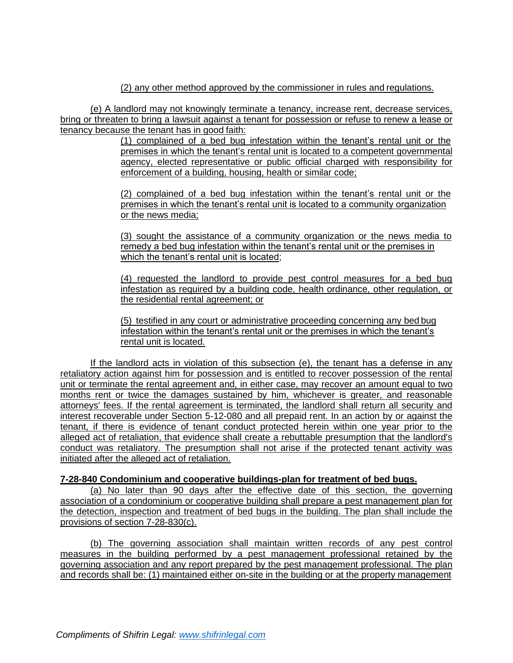(2) any other method approved by the commissioner in rules and regulations.

(e) A landlord may not knowingly terminate a tenancy, increase rent, decrease services, bring or threaten to bring a lawsuit against a tenant for possession or refuse to renew a lease or tenancy because the tenant has in good faith:

> (1) complained of a bed bug infestation within the tenant's rental unit or the premises in which the tenant's rental unit is located to a competent governmental agency, elected representative or public official charged with responsibility for enforcement of a building, housing, health or similar code;

> (2) complained of a bed bug infestation within the tenant's rental unit or the premises in which the tenant's rental unit is located to a community organization or the news media;

> (3) sought the assistance of a community organization or the news media to remedy a bed bug infestation within the tenant's rental unit or the premises in which the tenant's rental unit is located;

> (4) requested the landlord to provide pest control measures for a bed bug infestation as required by a building code, health ordinance, other regulation, or the residential rental agreement; or

(5) testified in any court or administrative proceeding concerning any bed bug infestation within the tenant's rental unit or the premises in which the tenant's rental unit is located.

If the landlord acts in violation of this subsection (e), the tenant has a defense in any retaliatory action against him for possession and is entitled to recover possession of the rental unit or terminate the rental agreement and, in either case, may recover an amount equal to two months rent or twice the damages sustained by him, whichever is greater, and reasonable attorneys' fees. If the rental agreement is terminated, the landlord shall return all security and interest recoverable under Section 5-12-080 and all prepaid rent. In an action by or against the tenant, if there is evidence of tenant conduct protected herein within one year prior to the alleged act of retaliation, that evidence shall create a rebuttable presumption that the landlord's conduct was retaliatory. The presumption shall not arise if the protected tenant activity was initiated after the alleged act of retaliation.

### **7-28-840 Condominium and cooperative buildings-plan for treatment of bed bugs.**

(a) No later than 90 days after the effective date of this section, the governing association of a condominium or cooperative building shall prepare a pest management plan for the detection, inspection and treatment of bed bugs in the building. The plan shall include the provisions of section 7-28-830(c).

(b) The governing association shall maintain written records of any pest control measures in the building performed by a pest management professional retained by the governing association and any report prepared by the pest management professional. The plan and records shall be: (1) maintained either on-site in the building or at the property management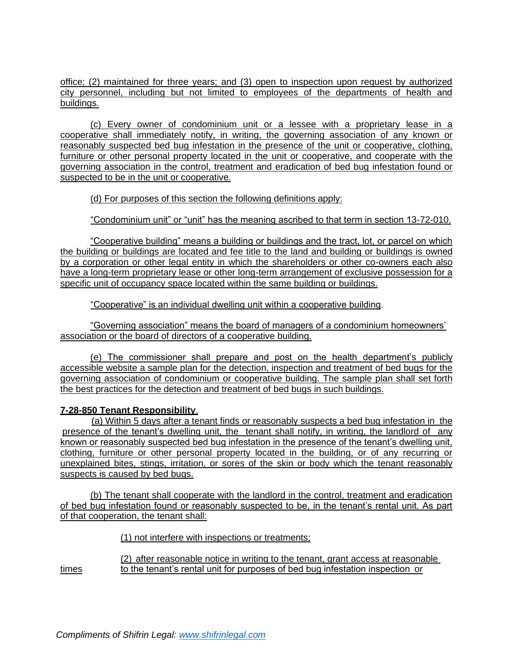office; (2) maintained for three years; and (3) open to inspection upon request by authorized city personnel, including but not limited to employees of the departments of health and buildings.

(c) Every owner of condominium unit or a lessee with a proprietary lease in a cooperative shall immediately notify, in writing, the governing association of any known or reasonably suspected bed bug infestation in the presence of the unit or cooperative, clothing, furniture or other personal property located in the unit or cooperative, and cooperate with the governing association in the control, treatment and eradication of bed bug infestation found or suspected to be in the unit or cooperative.

(d) For purposes of this section the following definitions apply:

"Condominium unit" or "unit" has the meaning ascribed to that term in section 13-72-010.

"Cooperative building" means a building or buildings and the tract, lot, or parcel on which the building or buildings are located and fee title to the land and building or buildings is owned by a corporation or other legal entity in which the shareholders or other co-owners each also have a long-term proprietary lease or other long-term arrangement of exclusive possession for a specific unit of occupancy space located within the same building or buildings.

"Cooperative" is an individual dwelling unit within a cooperative building.

"Governing association" means the board of managers of a condominium homeowners' association or the board of directors of a cooperative building.

(e) The commissioner shall prepare and post on the health department's publicly accessible website a sample plan for the detection, inspection and treatment of bed bugs for the governing association of condominium or cooperative building. The sample plan shall set forth the best practices for the detection and treatment of bed bugs in such buildings.

### **7-28-850 Tenant Responsibility**.

(a) Within 5 days after a tenant finds or reasonably suspects a bed bug infestation in the presence of the tenant's dwelling unit, the tenant shall notify, in writing, the landlord of any known or reasonably suspected bed bug infestation in the presence of the tenant's dwelling unit, clothing, furniture or other personal property located in the building, or of any recurring or unexplained bites, stings, irritation, or sores of the skin or body which the tenant reasonably suspects is caused by bed bugs.

(b) The tenant shall cooperate with the landlord in the control, treatment and eradication of bed bug infestation found or reasonably suspected to be, in the tenant's rental unit. As part of that cooperation, the tenant shall:

(1) not interfere with inspections or treatments;

(2) after reasonable notice in writing to the tenant, grant access at reasonable times to the tenant's rental unit for purposes of bed bug infestation inspection or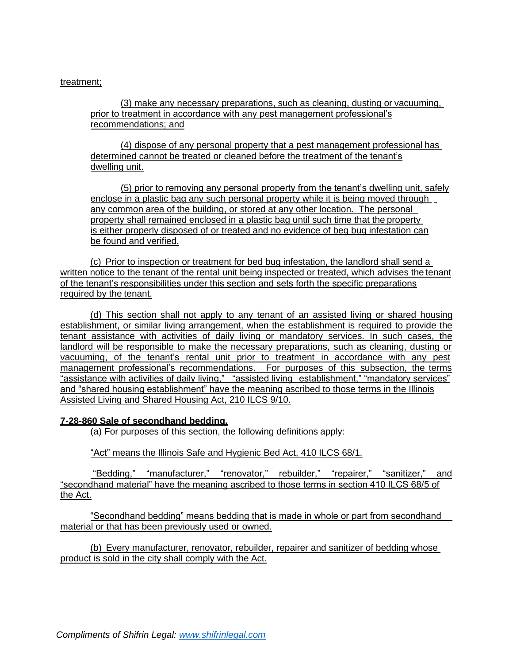### treatment;

(3) make any necessary preparations, such as cleaning, dusting or vacuuming, prior to treatment in accordance with any pest management professional's recommendations; and

(4) dispose of any personal property that a pest management professional has determined cannot be treated or cleaned before the treatment of the tenant's dwelling unit.

(5) prior to removing any personal property from the tenant's dwelling unit, safely enclose in a plastic bag any such personal property while it is being moved through any common area of the building, or stored at any other location. The personal property shall remained enclosed in a plastic bag until such time that the property is either properly disposed of or treated and no evidence of beg bug infestation can be found and verified.

(c) Prior to inspection or treatment for bed bug infestation, the landlord shall send a written notice to the tenant of the rental unit being inspected or treated, which advises the tenant of the tenant's responsibilities under this section and sets forth the specific preparations required by the tenant.

(d) This section shall not apply to any tenant of an assisted living or shared housing establishment, or similar living arrangement, when the establishment is required to provide the tenant assistance with activities of daily living or mandatory services. In such cases, the landlord will be responsible to make the necessary preparations, such as cleaning, dusting or vacuuming, of the tenant's rental unit prior to treatment in accordance with any pest management professional's recommendations. For purposes of this subsection, the terms "assistance with activities of daily living," "assisted living establishment," "mandatory services" and "shared housing establishment" have the meaning ascribed to those terms in the Illinois Assisted Living and Shared Housing Act, 210 ILCS 9/10.

#### **7-28-860 Sale of secondhand bedding.**

(a) For purposes of this section, the following definitions apply:

"Act" means the Illinois Safe and Hygienic Bed Act, 410 ILCS 68/1.

"Bedding," "manufacturer," "renovator," rebuilder," "repairer," "sanitizer," and "secondhand material" have the meaning ascribed to those terms in section 410 ILCS 68/5 of the Act.

"Secondhand bedding" means bedding that is made in whole or part from secondhand material or that has been previously used or owned.

(b) Every manufacturer, renovator, rebuilder, repairer and sanitizer of bedding whose product is sold in the city shall comply with the Act.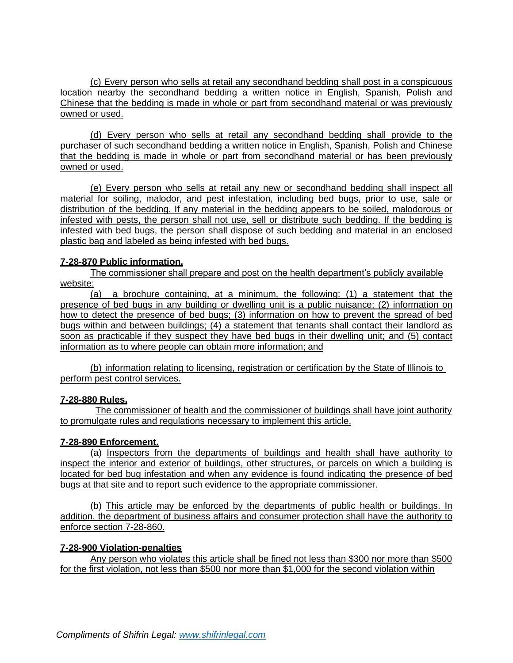(c) Every person who sells at retail any secondhand bedding shall post in a conspicuous location nearby the secondhand bedding a written notice in English, Spanish, Polish and Chinese that the bedding is made in whole or part from secondhand material or was previously owned or used.

(d) Every person who sells at retail any secondhand bedding shall provide to the purchaser of such secondhand bedding a written notice in English, Spanish, Polish and Chinese that the bedding is made in whole or part from secondhand material or has been previously owned or used.

(e) Every person who sells at retail any new or secondhand bedding shall inspect all material for soiling, malodor, and pest infestation, including bed bugs, prior to use, sale or distribution of the bedding. If any material in the bedding appears to be soiled, malodorous or infested with pests, the person shall not use, sell or distribute such bedding. If the bedding is infested with bed bugs, the person shall dispose of such bedding and material in an enclosed plastic bag and labeled as being infested with bed bugs.

## **7-28-870 Public information.**

The commissioner shall prepare and post on the health department's publicly available website:

(a) a brochure containing, at a minimum, the following: (1) a statement that the presence of bed bugs in any building or dwelling unit is a public nuisance; (2) information on how to detect the presence of bed bugs; (3) information on how to prevent the spread of bed bugs within and between buildings; (4) a statement that tenants shall contact their landlord as soon as practicable if they suspect they have bed bugs in their dwelling unit; and (5) contact information as to where people can obtain more information; and

(b) information relating to licensing, registration or certification by the State of Illinois to perform pest control services.

### **7-28-880 Rules.**

The commissioner of health and the commissioner of buildings shall have joint authority to promulgate rules and regulations necessary to implement this article.

### **7-28-890 Enforcement.**

(a) Inspectors from the departments of buildings and health shall have authority to inspect the interior and exterior of buildings, other structures, or parcels on which a building is located for bed bug infestation and when any evidence is found indicating the presence of bed bugs at that site and to report such evidence to the appropriate commissioner.

(b) This article may be enforced by the departments of public health or buildings. In addition, the department of business affairs and consumer protection shall have the authority to enforce section 7-28-860.

### **7-28-900 Violation-penalties**

Any person who violates this article shall be fined not less than \$300 nor more than \$500 for the first violation, not less than \$500 nor more than \$1,000 for the second violation within